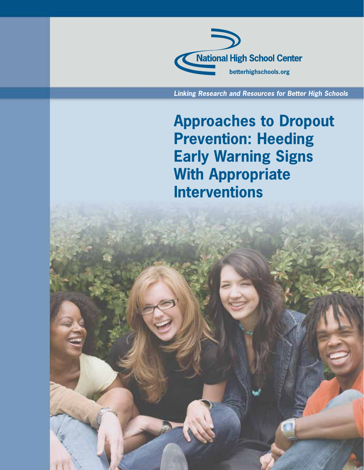

**Linking Research and Resources for Better High Schools**

**Approaches to Dropout Prevention: Heeding Early Warning Signs With Appropriate Interventions**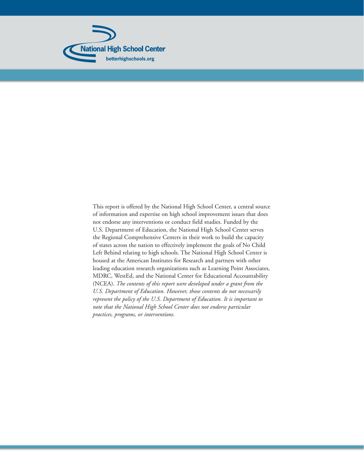

This report is offered by the National High School Center, a central source of information and expertise on high school improvement issues that does not endorse any interventions or conduct field studies. Funded by the U.S. Department of Education, the National High School Center serves the Regional Comprehensive Centers in their work to build the capacity of states across the nation to effectively implement the goals of No Child Left Behind relating to high schools. The National High School Center is housed at the American Institutes for Research and partners with other leading education research organizations such as Learning Point Associates, MDRC, WestEd, and the National Center for Educational Accountability (NCEA). *The contents of this report were developed under a grant from the U.S. Department of Education. However, those contents do not necessarily represent the policy of the U.S. Department of Education. It is important to note that the National High School Center does not endorse particular practices, programs, or interventions.*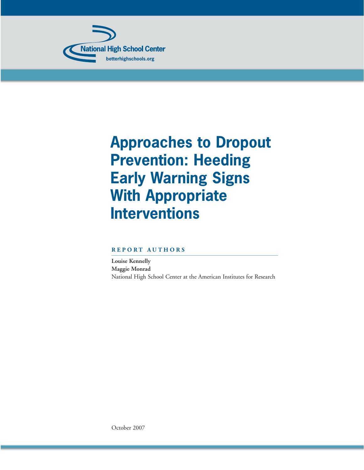

# **Approaches to Dropout Prevention: Heeding Early Warning Signs With Appropriate Interventions**

## **REPORT AUTHORS**

**Louise Kennelly Maggie Monrad** National High School Center at the American Institutes for Research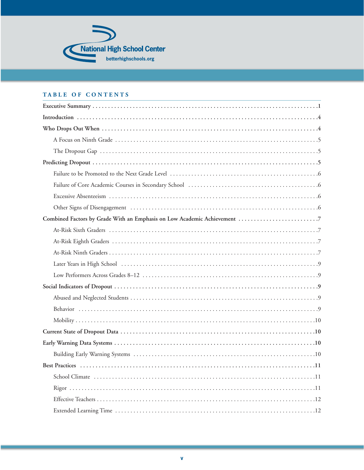

## TABLE OF CONTENTS

| Failure of Core Academic Courses in Secondary School (and manufacture of Core Academic Courses in Secondary School) (and manufacture of Core Academic Courses in Secondary School) (a.g., $6$ |
|-----------------------------------------------------------------------------------------------------------------------------------------------------------------------------------------------|
|                                                                                                                                                                                               |
|                                                                                                                                                                                               |
| Combined Factors by Grade With an Emphasis on Low Academic Achievement 7                                                                                                                      |
|                                                                                                                                                                                               |
|                                                                                                                                                                                               |
|                                                                                                                                                                                               |
|                                                                                                                                                                                               |
|                                                                                                                                                                                               |
|                                                                                                                                                                                               |
|                                                                                                                                                                                               |
|                                                                                                                                                                                               |
|                                                                                                                                                                                               |
|                                                                                                                                                                                               |
|                                                                                                                                                                                               |
|                                                                                                                                                                                               |
|                                                                                                                                                                                               |
|                                                                                                                                                                                               |
|                                                                                                                                                                                               |
|                                                                                                                                                                                               |
|                                                                                                                                                                                               |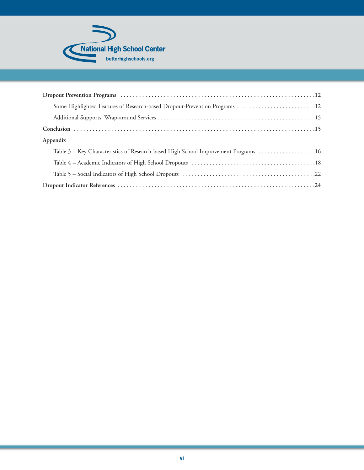

| Some Highlighted Features of Research-based Dropout-Prevention Programs  12         |
|-------------------------------------------------------------------------------------|
|                                                                                     |
|                                                                                     |
| Appendix                                                                            |
| Table 3 – Key Characteristics of Research-based High School Improvement Programs 16 |
|                                                                                     |
|                                                                                     |
|                                                                                     |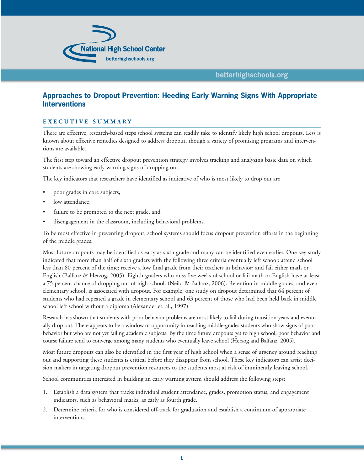

## **Approaches to Dropout Prevention: Heeding Early Warning Signs With Appropriate Interventions**

#### **EXECUTIVE SUMMARY**

There are effective, research-based steps school systems can readily take to identify likely high school dropouts. Less is known about effective remedies designed to address dropout, though a variety of promising programs and interventions are available.

The first step toward an effective dropout prevention strategy involves tracking and analyzing basic data on which students are showing early warning signs of dropping out.

The key indicators that researchers have identified as indicative of who is most likely to drop out are

- poor grades in core subjects,
- low attendance.
- failure to be promoted to the next grade, and
- disengagement in the classroom, including behavioral problems.

To be most effective in preventing dropout, school systems should focus dropout prevention efforts in the beginning of the middle grades.

Most future dropouts may be identified as early as sixth grade and many can be identified even earlier. One key study indicated that more than half of sixth graders with the following three criteria eventually left school: attend school less than 80 percent of the time; receive a low final grade from their teachers in behavior; and fail either math or English (Balfanz & Herzog, 2005). Eighth-graders who miss five weeks of school or fail math or English have at least a 75 percent chance of dropping out of high school. (Neild & Balfanz, 2006). Retention in middle grades, and even elementary school, is associated with dropout. For example, one study on dropout determined that 64 percent of students who had repeated a grade in elementary school and 63 percent of those who had been held back in middle school left school without a diploma (Alexander et. al., 1997).

Research has shown that students with prior behavior problems are most likely to fail during transition years and eventually drop out. There appears to be a window of opportunity in reaching middle-grades students who show signs of poor behavior but who are not yet failing academic subjects. By the time future dropouts get to high school, poor behavior and course failure tend to converge among many students who eventually leave school (Herzog and Balfanz, 2005).

Most future dropouts can also be identified in the first year of high school when a sense of urgency around reaching out and supporting these students is critical before they disappear from school. These key indicators can assist decision makers in targeting dropout prevention resources to the students most at risk of imminently leaving school.

School communities interested in building an early warning system should address the following steps:

- 1. Establish a data system that tracks individual student attendance, grades, promotion status, and engagement indicators, such as behavioral marks, as early as fourth grade.
- 2. Determine criteria for who is considered off-track for graduation and establish a continuum of appropriate interventions.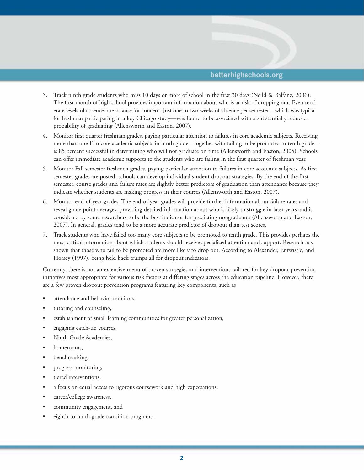

- 3. Track ninth grade students who miss 10 days or more of school in the first 30 days (Neild & Balfanz, 2006). The first month of high school provides important information about who is at risk of dropping out. Even moderate levels of absences are a cause for concern. Just one to two weeks of absence per semester—which was typical for freshmen participating in a key Chicago study—was found to be associated with a substantially reduced probability of graduating (Allensworth and Easton, 2007).
- 4. Monitor first quarter freshman grades, paying particular attention to failures in core academic subjects. Receiving more than one F in core academic subjects in ninth grade—together with failing to be promoted to tenth grade is 85 percent successful in determining who will not graduate on time (Allensworth and Easton, 2005). Schools can offer immediate academic supports to the students who are failing in the first quarter of freshman year.
- 5. Monitor Fall semester freshmen grades, paying particular attention to failures in core academic subjects. As first semester grades are posted, schools can develop individual student dropout strategies. By the end of the first semester, course grades and failure rates are slightly better predictors of graduation than attendance because they indicate whether students are making progress in their courses (Allensworth and Easton, 2007).
- 6. Monitor end-of-year grades. The end-of-year grades will provide further information about failure rates and reveal grade point averages, providing detailed information about who is likely to struggle in later years and is considered by some researchers to be the best indicator for predicting nongraduates (Allensworth and Easton, 2007). In general, grades tend to be a more accurate predictor of dropout than test scores.
- 7. Track students who have failed too many core subjects to be promoted to tenth grade. This provides perhaps the most critical information about which students should receive specialized attention and support. Research has shown that those who fail to be promoted are more likely to drop out. According to Alexander, Entwistle, and Horsey (1997), being held back trumps all for dropout indicators.

Currently, there is not an extensive menu of proven strategies and interventions tailored for key dropout prevention initiatives most appropriate for various risk factors at differing stages across the education pipeline. However, there are a few proven dropout prevention programs featuring key components, such as

- attendance and behavior monitors,
- tutoring and counseling,
- establishment of small learning communities for greater personalization,
- engaging catch-up courses,
- Ninth Grade Academies,
- homerooms,
- benchmarking,
- progress monitoring,
- tiered interventions,
- a focus on equal access to rigorous coursework and high expectations,
- career/college awareness,
- community engagement, and
- eighth-to-ninth grade transition programs.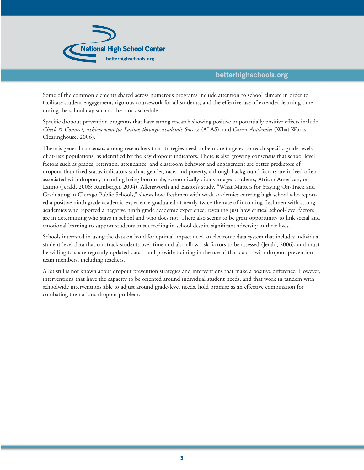

Some of the common elements shared across numerous programs include attention to school climate in order to facilitate student engagement, rigorous coursework for all students, and the effective use of extended learning time during the school day such as the block schedule.

Specific dropout prevention programs that have strong research showing positive or potentially positive effects include *Check & Connect, Achievement for Latinos through Academic Success* (ALAS), and *Career Academies* (What Works Clearinghouse, 2006).

There is general consensus among researchers that strategies need to be more targeted to reach specific grade levels of at-risk populations, as identified by the key dropout indicators. There is also growing consensus that school level factors such as grades, retention, attendance, and classroom behavior and engagement are better predictors of dropout than fixed status indicators such as gender, race, and poverty, although background factors are indeed often associated with dropout, including being born male, economically disadvantaged students, African American, or Latino (Jerald, 2006; Rumberger, 2004). Allensworth and Easton's study, "What Matters for Staying On-Track and Graduating in Chicago Public Schools," shows how freshmen with weak academics entering high school who reported a positive ninth grade academic experience graduated at nearly twice the rate of incoming freshmen with strong academics who reported a negative ninth grade academic experience, revealing just how critical school-level factors are in determining who stays in school and who does not. There also seems to be great opportunity to link social and emotional learning to support students in succeeding in school despite significant adversity in their lives.

Schools interested in using the data on hand for optimal impact need an electronic data system that includes individual student-level data that can track students over time and also allow risk factors to be assessed (Jerald, 2006), and must be willing to share regularly updated data—and provide training in the use of that data—with dropout prevention team members, including teachers.

A lot still is not known about dropout prevention strategies and interventions that make a positive difference. However, interventions that have the capacity to be oriented around individual student needs, and that work in tandem with schoolwide interventions able to adjust around grade-level needs, hold promise as an effective combination for combating the nation's dropout problem.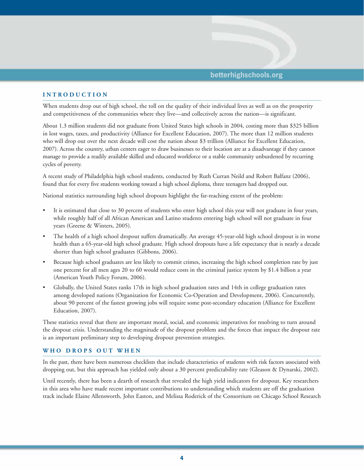

#### **INTRODUCTION**

When students drop out of high school, the toll on the quality of their individual lives as well as on the prosperity and competitiveness of the communities where they live—and collectively across the nation—is significant.

About 1.3 million students did not graduate from United States high schools in 2004, costing more than \$325 billion in lost wages, taxes, and productivity (Alliance for Excellent Education, 2007). The more than 12 million students who will drop out over the next decade will cost the nation about \$3 trillion (Alliance for Excellent Education, 2007). Across the country, urban centers eager to draw businesses to their location are at a disadvantage if they cannot manage to provide a readily available skilled and educated workforce or a stable community unburdened by recurring cycles of poverty.

A recent study of Philadelphia high school students, conducted by Ruth Curran Neild and Robert Balfanz (2006), found that for every five students working toward a high school diploma, three teenagers had dropped out.

National statistics surrounding high school dropouts highlight the far-reaching extent of the problem:

- It is estimated that close to 30 percent of students who enter high school this year will not graduate in four years, while roughly half of all African American and Latino students entering high school will not graduate in four years (Greene & Winters, 2005).
- The health of a high school dropout suffers dramatically. An average 45-year-old high school dropout is in worse health than a 65-year-old high school graduate. High school dropouts have a life expectancy that is nearly a decade shorter than high school graduates (Gibbons, 2006).
- Because high school graduates are less likely to commit crimes, increasing the high school completion rate by just one percent for all men ages 20 to 60 would reduce costs in the criminal justice system by \$1.4 billion a year (American Youth Policy Forum, 2006).
- Globally, the United States ranks 17th in high school graduation rates and 14th in college graduation rates among developed nations (Organization for Economic Co-Operation and Development, 2006). Concurrently, about 90 percent of the fastest growing jobs will require some post-secondary education (Alliance for Excellent Education, 2007).

These statistics reveal that there are important moral, social, and economic imperatives for resolving to turn around the dropout crisis. Understanding the magnitude of the dropout problem and the forces that impact the dropout rate is an important preliminary step to developing dropout prevention strategies.

#### **WHO DROPS OUT WHEN**

In the past, there have been numerous checklists that include characteristics of students with risk factors associated with dropping out, but this approach has yielded only about a 30 percent predictability rate (Gleason & Dynarski, 2002).

Until recently, there has been a dearth of research that revealed the high yield indicators for dropout. Key researchers in this area who have made recent important contributions to understanding which students are off the graduation track include Elaine Allensworth, John Easton, and Melissa Roderick of the Consortium on Chicago School Research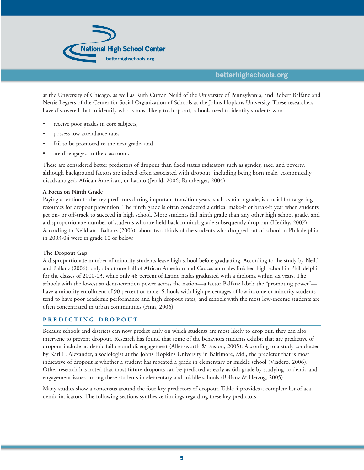

at the University of Chicago, as well as Ruth Curran Neild of the University of Pennsylvania, and Robert Balfanz and Nettie Legters of the Center for Social Organization of Schools at the Johns Hopkins University. These researchers have discovered that to identify who is most likely to drop out, schools need to identify students who

- receive poor grades in core subjects,
- possess low attendance rates,
- fail to be promoted to the next grade, and
- are disengaged in the classroom.

These are considered better predictors of dropout than fixed status indicators such as gender, race, and poverty, although background factors are indeed often associated with dropout, including being born male, economically disadvantaged, African American, or Latino (Jerald, 2006; Rumberger, 2004).

#### **A Focus on Ninth Grade**

Paying attention to the key predictors during important transition years, such as ninth grade, is crucial for targeting resources for dropout prevention. The ninth grade is often considered a critical make-it or break-it year when students get on- or off-track to succeed in high school. More students fail ninth grade than any other high school grade, and a disproportionate number of students who are held back in ninth grade subsequently drop out (Herlihy, 2007). According to Neild and Balfanz (2006), about two-thirds of the students who dropped out of school in Philadelphia in 2003-04 were in grade 10 or below.

#### **The Dropout Gap**

A disproportionate number of minority students leave high school before graduating. According to the study by Neild and Balfanz (2006), only about one-half of African American and Caucasian males finished high school in Philadelphia for the classes of 2000-03, while only 46 percent of Latino males graduated with a diploma within six years. The schools with the lowest student-retention power across the nation—a factor Balfanz labels the "promoting power" have a minority enrollment of 90 percent or more. Schools with high percentages of low-income or minority students tend to have poor academic performance and high dropout rates, and schools with the most low-income students are often concentrated in urban communities (Finn, 2006).

#### **PREDICTING DROPOUT**

Because schools and districts can now predict early on which students are most likely to drop out, they can also intervene to prevent dropout. Research has found that some of the behaviors students exhibit that are predictive of dropout include academic failure and disengagement (Allensworth & Easton, 2005). According to a study conducted by Karl L. Alexander, a sociologist at the Johns Hopkins University in Baltimore, Md., the predictor that is most indicative of dropout is whether a student has repeated a grade in elementary or middle school (Viadero, 2006). Other research has noted that most future dropouts can be predicted as early as 6th grade by studying academic and engagement issues among these students in elementary and middle schools (Balfanz & Herzog, 2005).

Many studies show a consensus around the four key predictors of dropout. Table 4 provides a complete list of academic indicators. The following sections synthesize findings regarding these key predictors.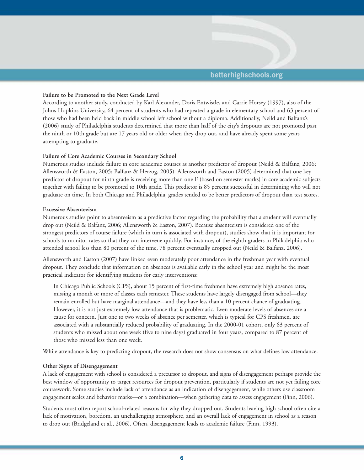

#### **Failure to be Promoted to the Next Grade Level**

According to another study, conducted by Karl Alexander, Doris Entwistle, and Carrie Horsey (1997), also of the Johns Hopkins University, 64 percent of students who had repeated a grade in elementary school and 63 percent of those who had been held back in middle school left school without a diploma. Additionally, Neild and Balfanz's (2006) study of Philadelphia students determined that more than half of the city's dropouts are not promoted past the ninth or 10th grade but are 17 years old or older when they drop out, and have already spent some years attempting to graduate.

#### **Failure of Core Academic Courses in Secondary School**

Numerous studies include failure in core academic courses as another predictor of dropout (Neild & Balfanz, 2006; Allensworth & Easton, 2005; Balfanz & Herzog, 2005). Allensworth and Easton (2005) determined that one key predictor of dropout for ninth grade is receiving more than one F (based on semester marks) in core academic subjects together with failing to be promoted to 10th grade. This predictor is 85 percent successful in determining who will not graduate on time. In both Chicago and Philadelphia, grades tended to be better predictors of dropout than test scores.

#### **Excessive Absenteeism**

Numerous studies point to absenteeism as a predictive factor regarding the probability that a student will eventually drop out (Neild & Balfanz, 2006; Allensworth & Easton, 2007). Because absenteeism is considered one of the strongest predictors of course failure (which in turn is associated with dropout), studies show that it is important for schools to monitor rates so that they can intervene quickly. For instance, of the eighth graders in Philadelphia who attended school less than 80 percent of the time, 78 percent eventually dropped out (Neild & Balfanz, 2006).

Allensworth and Easton (2007) have linked even moderately poor attendance in the freshman year with eventual dropout. They conclude that information on absences is available early in the school year and might be the most practical indicator for identifying students for early interventions:

In Chicago Public Schools (CPS), about 15 percent of first-time freshmen have extremely high absence rates, missing a month or more of classes each semester. These students have largely disengaged from school—they remain enrolled but have marginal attendance—and they have less than a 10 percent chance of graduating. However, it is not just extremely low attendance that is problematic. Even moderate levels of absences are a cause for concern. Just one to two weeks of absence per semester, which is typical for CPS freshmen, are associated with a substantially reduced probability of graduating. In the 2000-01 cohort, only 63 percent of students who missed about one week (five to nine days) graduated in four years, compared to 87 percent of those who missed less than one week.

While attendance is key to predicting dropout, the research does not show consensus on what defines low attendance.

#### **Other Signs of Disengagement**

A lack of engagement with school is considered a precursor to dropout, and signs of disengagement perhaps provide the best window of opportunity to target resources for dropout prevention, particularly if students are not yet failing core coursework. Some studies include lack of attendance as an indication of disengagement, while others use classroom engagement scales and behavior marks—or a combination—when gathering data to assess engagement (Finn, 2006).

Students most often report school-related reasons for why they dropped out. Students leaving high school often cite a lack of motivation, boredom, an unchallenging atmosphere, and an overall lack of engagement in school as a reason to drop out (Bridgeland et al., 2006). Often, disengagement leads to academic failure (Finn, 1993).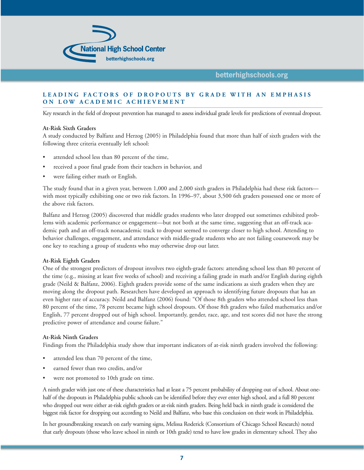

#### **LEADING FACTORS OF DROPOUTS BY GRADE WITH AN EMPHASIS ON LOW ACADEMIC ACHIEVEMENT**

Key research in the field of dropout prevention has managed to assess individual grade levels for predictions of eventual dropout.

#### **At-Risk Sixth Graders**

A study conducted by Balfanz and Herzog (2005) in Philadelphia found that more than half of sixth graders with the following three criteria eventually left school:

- attended school less than 80 percent of the time,
- received a poor final grade from their teachers in behavior, and
- were failing either math or English.

The study found that in a given year, between 1,000 and 2,000 sixth graders in Philadelphia had these risk factors with most typically exhibiting one or two risk factors. In 1996–97, about 3,500 6th graders possessed one or more of the above risk factors.

Balfanz and Herzog (2005) discovered that middle grades students who later dropped out sometimes exhibited problems with academic performance or engagement—but not both at the same time, suggesting that an off-track academic path and an off-track nonacademic track to dropout seemed to converge closer to high school. Attending to behavior challenges, engagement, and attendance with middle-grade students who are not failing coursework may be one key to reaching a group of students who may otherwise drop out later.

#### **At-Risk Eighth Graders**

One of the strongest predictors of dropout involves two eighth-grade factors: attending school less than 80 percent of the time (e.g., missing at least five weeks of school) and receiving a failing grade in math and/or English during eighth grade (Neild & Balfanz, 2006). Eighth graders provide some of the same indications as sixth graders when they are moving along the dropout path. Researchers have developed an approach to identifying future dropouts that has an even higher rate of accuracy. Neild and Balfanz (2006) found: "Of those 8th graders who attended school less than 80 percent of the time, 78 percent became high school dropouts. Of those 8th graders who failed mathematics and/or English, 77 percent dropped out of high school. Importantly, gender, race, age, and test scores did not have the strong predictive power of attendance and course failure."

#### **At-Risk Ninth Graders**

Findings from the Philadelphia study show that important indicators of at-risk ninth graders involved the following:

- attended less than 70 percent of the time,
- earned fewer than two credits, and/or
- were not promoted to 10th grade on time.

A ninth grader with just one of these characteristics had at least a 75 percent probability of dropping out of school. About onehalf of the dropouts in Philadelphia public schools can be identified before they ever enter high school, and a full 80 percent who dropped out were either at-risk eighth graders or at-risk ninth graders. Being held back in ninth grade is considered the biggest risk factor for dropping out according to Neild and Balfanz, who base this conclusion on their work in Philadelphia.

In her groundbreaking research on early warning signs, Melissa Roderick (Consortium of Chicago School Research) noted that early dropouts (those who leave school in ninth or 10th grade) tend to have low grades in elementary school. They also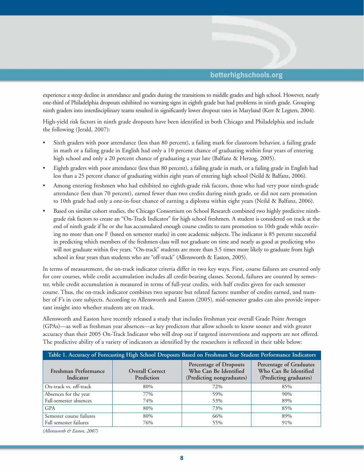

experience a steep decline in attendance and grades during the transitions to middle grades and high school. However, nearly one-third of Philadelphia dropouts exhibited no warning signs in eighth grade but had problems in ninth grade. Grouping ninth graders into interdisciplinary teams resulted in significantly lower dropout rates in Maryland (Kerr & Legters, 2004).

High-yield risk factors in ninth grade dropouts have been identified in both Chicago and Philadelphia and include the following (Jerald, 2007):

- Sixth graders with poor attendance (less than 80 percent), a failing mark for classroom behavior, a failing grade in math or a failing grade in English had only a 10 percent chance of graduating within four years of entering high school and only a 20 percent chance of graduating a year late (Balfanz & Herzog, 2005).
- Eighth graders with poor attendance (less than 80 percent), a failing grade in math, or a failing grade in English had less than a 25 percent chance of graduating within eight years of entering high school (Neild & Balfanz, 2006).
- Among entering freshmen who had exhibited no eighth-grade risk factors, those who had very poor ninth-grade attendance (less than 70 percent), earned fewer than two credits during ninth grade, or did not earn promotion to 10th grade had only a one-in-four chance of earning a diploma within eight years (Neild & Balfanz, 2006).
- Based on similar cohort studies, the Chicago Consortium on School Research combined two highly predictive ninthgrade risk factors to create an "On-Track Indicator" for high school freshmen. A student is considered on track at the end of ninth grade if he or she has accumulated enough course credits to earn promotion to 10th grade while receiving no more than one F (based on semester marks) in core academic subjects. The indicator is 85 percent successful in predicting which members of the freshmen class will not graduate on time and nearly as good at predicting who will not graduate within five years. "On-track" students are more than 3.5 times more likely to graduate from high school in four years than students who are "off-track" (Allensworth & Easton, 2005).

In terms of measurement, the on-track indicator criteria differ in two key ways. First, course failures are counted only for core courses, while credit accumulation includes all credit-bearing classes. Second, failures are counted by semester, while credit accumulation is measured in terms of full-year credits, with half credits given for each semester course. Thus, the on-track indicator combines two separate but related factors: number of credits earned, and number of F's in core subjects. According to Allensworth and Easton (2005), mid-semester grades can also provide important insight into whether students are on track.

Allensworth and Easton have recently released a study that includes freshman year overall Grade Point Averages (GPAs)—as well as freshman year absences—as key predictors that allow schools to know sooner and with greater accuracy than their 2005 On-Track Indicator who will drop out if targeted interventions and supports are not offered. The predictive ability of a variety of indicators as identified by the researchers is reflected in their table below:

| Table 1. Accuracy of Forecasting High School Dropouts Based on Freshman Year Student Performance Indicators |                                      |                                                                              |                                                                            |  |  |  |  |
|-------------------------------------------------------------------------------------------------------------|--------------------------------------|------------------------------------------------------------------------------|----------------------------------------------------------------------------|--|--|--|--|
| Freshman Performance<br>Indicator                                                                           | <b>Overall Correct</b><br>Prediction | Percentage of Dropouts<br>Who Can Be Identified<br>(Predicting nongraduates) | Percentage of Graduates<br>Who Can Be Identified<br>(Predicting graduates) |  |  |  |  |
| On-track vs. off-track                                                                                      | 80%                                  | 72%                                                                          | 85%                                                                        |  |  |  |  |
| Absences for the year                                                                                       | 77%                                  | 59%                                                                          | 90%                                                                        |  |  |  |  |
| Fall-semester absences                                                                                      | 74%                                  | 53%                                                                          | 89%                                                                        |  |  |  |  |
| <b>GPA</b>                                                                                                  | 80%                                  | 73%                                                                          | 85%                                                                        |  |  |  |  |
| Semester course failures                                                                                    | 80%                                  | 66%                                                                          | 89%                                                                        |  |  |  |  |
| Fall semester failures                                                                                      | 76%                                  | 55%                                                                          | 91%                                                                        |  |  |  |  |

*(Allensworth & Easton, 2007)*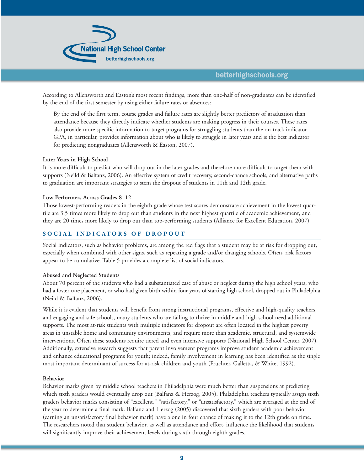

According to Allensworth and Easton's most recent findings, more than one-half of non-graduates can be identified by the end of the first semester by using either failure rates or absences:

By the end of the first term, course grades and failure rates are slightly better predictors of graduation than attendance because they directly indicate whether students are making progress in their courses. These rates also provide more specific information to target programs for struggling students than the on-track indicator. GPA, in particular, provides information about who is likely to struggle in later years and is the best indicator for predicting nongraduates (Allensworth & Easton, 2007).

#### **Later Years in High School**

It is more difficult to predict who will drop out in the later grades and therefore more difficult to target them with supports (Neild & Balfanz, 2006). An effective system of credit recovery, second-chance schools, and alternative paths to graduation are important strategies to stem the dropout of students in 11th and 12th grade.

#### **Low Performers Across Grades 8–12**

Those lowest-performing readers in the eighth grade whose test scores demonstrate achievement in the lowest quartile are 3.5 times more likely to drop out than students in the next highest quartile of academic achievement, and they are 20 times more likely to drop out than top-performing students (Alliance for Excellent Education, 2007).

### **SOCIAL INDICATORS OF DROPOUT**

Social indicators, such as behavior problems, are among the red flags that a student may be at risk for dropping out, especially when combined with other signs, such as repeating a grade and/or changing schools. Often, risk factors appear to be cumulative. Table 5 provides a complete list of social indicators.

#### **Abused and Neglected Students**

About 70 percent of the students who had a substantiated case of abuse or neglect during the high school years, who had a foster care placement, or who had given birth within four years of starting high school, dropped out in Philadelphia (Neild & Balfanz, 2006).

While it is evident that students will benefit from strong instructional programs, effective and high-quality teachers, and engaging and safe schools, many students who are failing to thrive in middle and high school need additional supports. The most at-risk students with multiple indicators for dropout are often located in the highest poverty areas in unstable home and community environments, and require more than academic, structural, and systemwide interventions. Often these students require tiered and even intensive supports (National High School Center, 2007). Additionally, extensive research suggests that parent involvement programs improve student academic achievement and enhance educational programs for youth; indeed, family involvement in learning has been identified as the single most important determinant of success for at-risk children and youth (Fruchter, Galletta, & White, 1992).

#### **Behavior**

Behavior marks given by middle school teachers in Philadelphia were much better than suspensions at predicting which sixth graders would eventually drop out (Balfanz & Herzog, 2005). Philadelphia teachers typically assign sixth graders behavior marks consisting of "excellent," "satisfactory," or "unsatisfactory," which are averaged at the end of the year to determine a final mark. Balfanz and Herzog (2005) discovered that sixth graders with poor behavior (earning an unsatisfactory final behavior mark) have a one in four chance of making it to the 12th grade on time. The researchers noted that student behavior, as well as attendance and effort, influence the likelihood that students will significantly improve their achievement levels during sixth through eighth grades.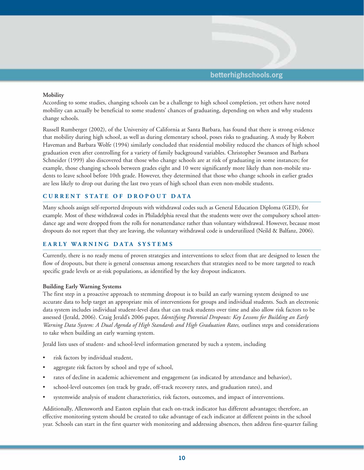

#### **Mobility**

According to some studies, changing schools can be a challenge to high school completion, yet others have noted mobility can actually be beneficial to some students' chances of graduating, depending on when and why students change schools.

Russell Rumberger (2002), of the University of California at Santa Barbara, has found that there is strong evidence that mobility during high school, as well as during elementary school, poses risks to graduating. A study by Robert Haveman and Barbara Wolfe (1994) similarly concluded that residential mobility reduced the chances of high school graduation even after controlling for a variety of family background variables. Christopher Swanson and Barbara Schneider (1999) also discovered that those who change schools are at risk of graduating in some instances; for example, those changing schools between grades eight and 10 were significantly more likely than non-mobile students to leave school before 10th grade. However, they determined that those who change schools in earlier grades are less likely to drop out during the last two years of high school than even non-mobile students.

## **CURRENT STATE OF DROPOUT DATA**

Many schools assign self-reported dropouts with withdrawal codes such as General Education Diploma (GED), for example. Most of these withdrawal codes in Philadelphia reveal that the students were over the compulsory school attendance age and were dropped from the rolls for nonattendance rather than voluntary withdrawal. However, because most dropouts do not report that they are leaving, the voluntary withdrawal code is underutilized (Neild & Balfanz, 2006).

#### **EARLY WARNING DATA SYSTEMS**

Currently, there is no ready menu of proven strategies and interventions to select from that are designed to lessen the flow of dropouts, but there is general consensus among researchers that strategies need to be more targeted to reach specific grade levels or at-risk populations, as identified by the key dropout indicators.

#### **Building Early Warning Systems**

The first step in a proactive approach to stemming dropout is to build an early warning system designed to use accurate data to help target an appropriate mix of interventions for groups and individual students. Such an electronic data system includes individual student-level data that can track students over time and also allow risk factors to be assessed (Jerald, 2006). Craig Jerald's 2006 paper, *Identifying Potential Dropouts: Key Lessons for Building an Early Warning Data System: A Dual Agenda of High Standards and High Graduation Rates,* outlines steps and considerations to take when building an early warning system.

Jerald lists uses of student- and school-level information generated by such a system, including

- risk factors by individual student,
- aggregate risk factors by school and type of school,
- rates of decline in academic achievement and engagement (as indicated by attendance and behavior),
- school-level outcomes (on track by grade, off-track recovery rates, and graduation rates), and
- systemwide analysis of student characteristics, risk factors, outcomes, and impact of interventions.

Additionally, Allensworth and Easton explain that each on-track indicator has different advantages; therefore, an effective monitoring system should be created to take advantage of each indicator at different points in the school year. Schools can start in the first quarter with monitoring and addressing absences, then address first-quarter failing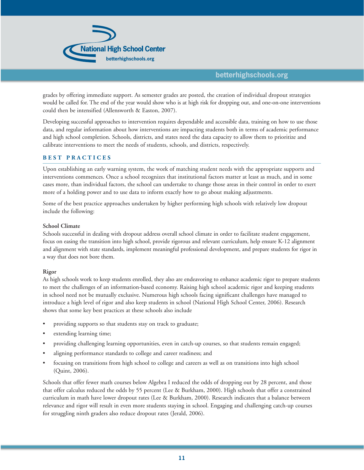

grades by offering immediate support. As semester grades are posted, the creation of individual dropout strategies would be called for. The end of the year would show who is at high risk for dropping out, and one-on-one interventions could then be intensified (Allensworth & Easton, 2007).

Developing successful approaches to intervention requires dependable and accessible data, training on how to use those data, and regular information about how interventions are impacting students both in terms of academic performance and high school completion. Schools, districts, and states need the data capacity to allow them to prioritize and calibrate interventions to meet the needs of students, schools, and districts, respectively.

#### **BEST PRACTICES**

Upon establishing an early warning system, the work of matching student needs with the appropriate supports and interventions commences. Once a school recognizes that institutional factors matter at least as much, and in some cases more, than individual factors, the school can undertake to change those areas in their control in order to exert more of a holding power and to use data to inform exactly how to go about making adjustments.

Some of the best practice approaches undertaken by higher performing high schools with relatively low dropout include the following:

#### **School Climate**

Schools successful in dealing with dropout address overall school climate in order to facilitate student engagement, focus on easing the transition into high school, provide rigorous and relevant curriculum, help ensure K-12 alignment and alignment with state standards, implement meaningful professional development, and prepare students for rigor in a way that does not bore them.

#### **Rigor**

As high schools work to keep students enrolled, they also are endeavoring to enhance academic rigor to prepare students to meet the challenges of an information-based economy. Raising high school academic rigor and keeping students in school need not be mutually exclusive. Numerous high schools facing significant challenges have managed to introduce a high level of rigor and also keep students in school (National High School Center, 2006). Research shows that some key best practices at these schools also include

- providing supports so that students stay on track to graduate;
- extending learning time;
- providing challenging learning opportunities, even in catch-up courses, so that students remain engaged;
- aligning performance standards to college and career readiness; and
- focusing on transitions from high school to college and careers as well as on transitions into high school (Quint, 2006).

Schools that offer fewer math courses below Algebra I reduced the odds of dropping out by 28 percent, and those that offer calculus reduced the odds by 55 percent (Lee & Burkham, 2000). High schools that offer a constrained curriculum in math have lower dropout rates (Lee & Burkham, 2000). Research indicates that a balance between relevance and rigor will result in even more students staying in school. Engaging and challenging catch-up courses for struggling ninth graders also reduce dropout rates (Jerald, 2006).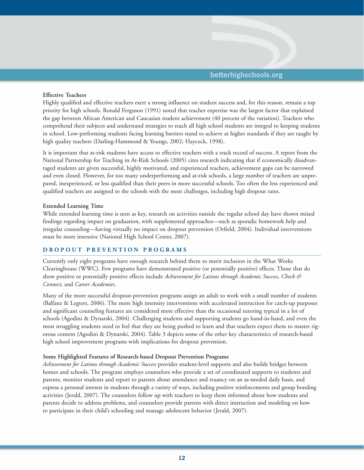

#### **Effective Teachers**

Highly qualified and effective teachers exert a strong influence on student success and, for this reason, remain a top priority for high schools. Ronald Ferguson (1991) noted that teacher expertise was the largest factor that explained the gap between African American and Caucasian student achievement (40 percent of the variation). Teachers who comprehend their subjects and understand strategies to reach all high school students are integral to keeping students in school. Low-performing students facing learning barriers stand to achieve at higher standards if they are taught by high quality teachers (Darling-Hammond & Youngs, 2002; Haycock, 1998).

It is important that at-risk students have access to effective teachers with a track record of success. A report from the National Partnership for Teaching in At-Risk Schools (2005) cites research indicating that if economically disadvantaged students are given successful, highly motivated, and experienced teachers, achievement gaps can be narrowed and even closed. However, for too many underperforming and at-risk schools, a large number of teachers are unprepared, inexperienced, or less qualified than their peers in more successful schools. Too often the less experienced and qualified teachers are assigned to the schools with the most challenges, including high dropout rates.

#### **Extended Learning Time**

While extended learning time is seen as key, research on activities outside the regular school day have shown mixed findings regarding impact on graduation, with supplemental approaches—such as sporadic homework help and irregular counseling—having virtually no impact on dropout prevention (Orfield, 2004). Individual interventions must be more intensive (National High School Center, 2007).

#### **DROPOUT PREVENTION PROGRAMS**

Currently only eight programs have enough research behind them to merit inclusion in the What Works Clearinghouse (WWC). Few programs have demonstrated positive (or potentially positive) effects. Those that do show positive or potentially positive effects include *Achievement for Latinos through Academic Success, Check & Connect,* and *Career Academies*.

Many of the more successful dropout-prevention programs assign an adult to work with a small number of students (Balfanz & Legters, 2006). The more high intensity interventions with accelerated instruction for catch-up purposes and significant counseling features are considered more effective than the occasional tutoring typical in a lot of schools (Agodini & Dynarski, 2004). Challenging students and supporting students go hand-in-hand, and even the most struggling students need to feel that they are being pushed to learn and that teachers expect them to master rigorous content (Agodini & Dynarski, 2004). Table 3 depicts some of the other key characteristics of research-based high school improvement programs with implications for dropout prevention.

#### **Some Highlighted Features of Research-based Dropout Prevention Programs**

*Achievement for Latinos through Academic Success* provides student-level supports and also builds bridges between homes and schools. The program employs counselors who provide a set of coordinated supports to students and parents, monitor students and report to parents about attendance and truancy on an as-needed daily basis, and express a personal interest in students through a variety of ways, including positive reinforcements and group bonding activities (Jerald, 2007). The counselors follow up with teachers to keep them informed about how students and parents decide to address problems, and counselors provide parents with direct instruction and modeling on how to participate in their child's schooling and manage adolescent behavior (Jerald, 2007).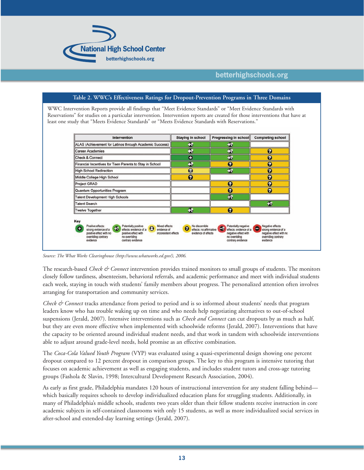

| Intervention                                            | <b>Staying in school</b> | Progressing in school | <b>Completing school</b> |
|---------------------------------------------------------|--------------------------|-----------------------|--------------------------|
| ALAS (Achievement for Latinos through Academic Success) | Ð                        | Ð                     |                          |
| <b>Career Academies</b>                                 | B                        | F.                    | $\boldsymbol{\Omega}$    |
| <b>Check &amp; Connect</b>                              | $\bullet$                | Đ                     | $\boldsymbol{\Theta}$    |
| Financial Incentives for Teen Parents to Stay in School | Đ                        | 0                     | $\boldsymbol{\Theta}$    |
| <b>High School Redirection</b>                          | $\bullet$                | B                     | $\boldsymbol{\Omega}$    |
| Middle College High School                              | 0                        |                       | 0                        |
| <b>Project GRAD</b>                                     |                          | $\boldsymbol{\Theta}$ | $\boldsymbol{\Theta}$    |
| <b>Quantum Opportunities Program</b>                    |                          | 0                     | $\boldsymbol{\Theta}$    |
| <b>Talent Development High Schools</b>                  |                          | $\overline{H}$        |                          |
| <b>Talent Search</b>                                    |                          |                       | $\bullet$                |
| <b>Twelve Together</b>                                  | $\mathbf{F}$             | $\boldsymbol{\Theta}$ |                          |

*Source: The What Works Clearinghouse (http://www.whatworks.ed.gov/), 2006.*

The research-based *Check & Connect* intervention provides trained monitors to small groups of students. The monitors closely follow tardiness, absenteeism, behavioral referrals, and academic performance and meet with individual students each week, staying in touch with students' family members about progress. The personalized attention often involves arranging for transportation and community services.

*Check & Connect* tracks attendance from period to period and is so informed about students' needs that program leaders know who has trouble waking up on time and who needs help negotiating alternatives to out-of-school suspensions (Jerald, 2007). Intensive interventions such as *Check and Connect* can cut dropouts by as much as half, but they are even more effective when implemented with schoolwide reforms (Jerald, 2007). Interventions that have the capacity to be oriented around individual student needs, and that work in tandem with schoolwide interventions able to adjust around grade-level needs, hold promise as an effective combination.

The *Coca-Cola Valued Youth Program* (VYP) was evaluated using a quasi-experimental design showing one percent dropout compared to 12 percent dropout in comparison groups. The key to this program is intensive tutoring that focuses on academic achievement as well as engaging students, and includes student tutors and cross-age tutoring groups (Fashola & Slavin, 1998; Intercultural Development Research Association, 2004).

As early as first grade, Philadelphia mandates 120 hours of instructional intervention for any student falling behind which basically requires schools to develop individualized education plans for struggling students. Additionally, in many of Philadelphia's middle schools, students two years older than their fellow students receive instruction in core academic subjects in self-contained classrooms with only 15 students, as well as more individualized social services in after-school and extended-day learning settings (Jerald, 2007).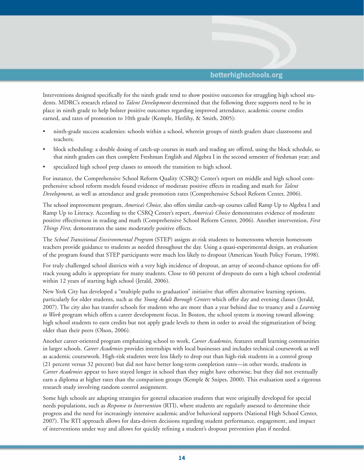

Interventions designed specifically for the ninth grade tend to show positive outcomes for struggling high school students. MDRC's research related to *Talent Development* determined that the following three supports need to be in place in ninth grade to help bolster positive outcomes regarding improved attendance, academic course credits earned, and rates of promotion to 10th grade (Kemple, Herlihy, & Smith, 2005):

- ninth-grade success academies: schools within a school, wherein groups of ninth graders share classrooms and teachers;
- block scheduling: a double dosing of catch-up courses in math and reading are offered, using the block schedule, so that ninth graders can then complete Freshman English and Algebra I in the second semester of freshman year; and
- specialized high school prep classes to smooth the transition to high school.

For instance, the Comprehensive School Reform Quality (CSRQ) Center's report on middle and high school comprehensive school reform models found evidence of moderate positive effects in reading and math for *Talent Development*, as well as attendance and grade promotion rates (Comprehensive School Reform Center, 2006).

The school improvement program, *America's Choice,* also offers similar catch-up courses called Ramp Up to Algebra I and Ramp Up to Literacy. According to the CSRQ Center's report, *America's Choice* demonstrates evidence of moderate positive effectiveness in reading and math (Comprehensive School Reform Center, 2006). Another intervention, *First Things First,* demonstrates the same moderately positive effects.

The *School Transitional Environmental Program* (STEP) assigns at-risk students to homerooms wherein homeroom teachers provide guidance to students as needed throughout the day. Using a quasi-experimental design, an evaluation of the program found that STEP participants were much less likely to dropout (American Youth Policy Forum, 1998).

For truly challenged school districts with a very high incidence of dropout, an array of second-chance options for offtrack young adults is appropriate for many students. Close to 60 percent of dropouts do earn a high school credential within 12 years of starting high school (Jerald, 2006).

New York City has developed a "multiple paths to graduation" initiative that offers alternative learning options, particularly for older students, such as the *Young Adult Borough Centers* which offer day and evening classes (Jerald, 2007). The city also has transfer schools for students who are more than a year behind due to truancy and a *Learning to Work* program which offers a career development focus. In Boston, the school system is moving toward allowing high school students to earn credits but not apply grade levels to them in order to avoid the stigmatization of being older than their peers (Olson, 2006).

Another career-oriented program emphasizing school to work, *Career Academies,* features small learning communities in larger schools. *Career Academies* provides internships with local businesses and includes technical coursework as well as academic coursework. High-risk students were less likely to drop out than high-risk students in a control group (21 percent versus 32 percent) but did not have better long-term completion rates—in other words, students in *Career Academies* appear to have stayed longer in school than they might have otherwise, but they did not eventually earn a diploma at higher rates than the comparison groups (Kemple & Snipes, 2000). This evaluation used a rigorous research study involving random control assignment.

Some high schools are adapting strategies for general education students that were originally developed for special needs populations, such as *Response to Intervention* (RTI), where students are regularly assessed to determine their progress and the need for increasingly intensive academic and/or behavioral supports (National High School Center, 2007). The RTI approach allows for data-driven decisions regarding student performance, engagement, and impact of interventions under way and allows for quickly refining a student's dropout prevention plan if needed.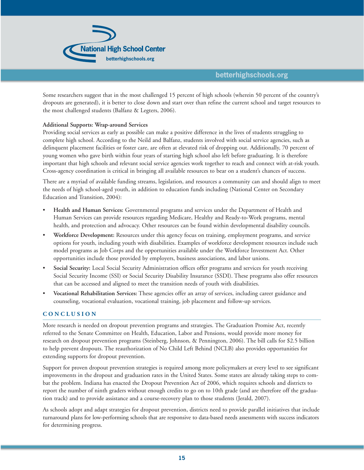

Some researchers suggest that in the most challenged 15 percent of high schools (wherein 50 percent of the country's dropouts are generated), it is better to close down and start over than refine the current school and target resources to the most challenged students (Balfanz & Legters, 2006).

#### **Additional Supports: Wrap-around Services**

Providing social services as early as possible can make a positive difference in the lives of students struggling to complete high school. According to the Neild and Balfanz, students involved with social service agencies, such as delinquent placement facilities or foster care, are often at elevated risk of dropping out. Additionally, 70 percent of young women who gave birth within four years of starting high school also left before graduating. It is therefore important that high schools and relevant social service agencies work together to reach and connect with at-risk youth. Cross-agency coordination is critical in bringing all available resources to bear on a student's chances of success.

There are a myriad of available funding streams, legislation, and resources a community can and should align to meet the needs of high school-aged youth, in addition to education funds including (National Center on Secondary Education and Transition, 2004):

- **Health and Human Services:** Governmental programs and services under the Department of Health and Human Services can provide resources regarding Medicare, Healthy and Ready-to-Work programs, mental health, and protection and advocacy. Other resources can be found within developmental disability councils.
- **Workforce Development:** Resources under this agency focus on training, employment programs, and service options for youth, including youth with disabilities. Examples of workforce development resources include such model programs as Job Corps and the opportunities available under the Workforce Investment Act. Other opportunities include those provided by employers, business associations, and labor unions.
- **Social Security:** Local Social Security Administration offices offer programs and services for youth receiving Social Security Income (SSI) or Social Security Disability Insurance (SSDI). These programs also offer resources that can be accessed and aligned to meet the transition needs of youth with disabilities.
- **Vocational Rehabilitation Services:** These agencies offer an array of services, including career guidance and counseling, vocational evaluation, vocational training, job placement and follow-up services.

#### **CONCLUSION**

More research is needed on dropout prevention programs and strategies. The Graduation Promise Act, recently referred to the Senate Committee on Health, Education, Labor and Pensions, would provide more money for research on dropout prevention programs (Steinberg, Johnson, & Pennington, 2006). The bill calls for \$2.5 billion to help prevent dropouts. The reauthorization of No Child Left Behind (NCLB) also provides opportunities for extending supports for dropout prevention.

Support for proven dropout prevention strategies is required among more policymakers at every level to see significant improvements in the dropout and graduation rates in the United States. Some states are already taking steps to combat the problem. Indiana has enacted the Dropout Prevention Act of 2006, which requires schools and districts to report the number of ninth graders without enough credits to go on to 10th grade (and are therefore off the graduation track) and to provide assistance and a course-recovery plan to those students (Jerald, 2007).

As schools adopt and adapt strategies for dropout prevention, districts need to provide parallel initiatives that include turnaround plans for low-performing schools that are responsive to data-based needs assessments with success indicators for determining progress.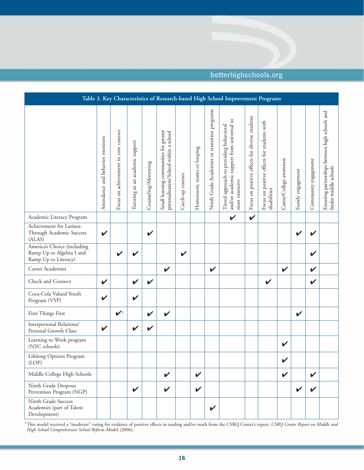## **Table 3. Key Characteristics of Research-based High School Improvement Programs** Attendance and behavior monitors<br>
Tutendance and behavior monitors<br>
Tocus on achievement in core courses<br>
Tutening as an academic support<br>
Counseling/Mentoring<br>
Small learning communities for greater<br>
Catch-up courses<br>
Hom Ensuring partnerships between high schools and Ensuring partnerships between high schools and Career/College awareness Community engagement Career/College awareness Community engagement feeder middle schools feeder middle schools Family engagement Family engagement Academic Literacy Program ✔ ✔ Achievement for Latinos Through Academic Success ✔ ✔ ✔ ✔ (ALAS) America's Choice (including Ramp Up to Algebra I and  $\mathsf{v}' \mathsf{v}'$   $\mathsf{v}'$   $\mathsf{v}'$   $\mathsf{v}'$   $\mathsf{v}'$   $\mathsf{v}'$   $\mathsf{v}'$   $\mathsf{v}'$ Ramp Up to Literacy) Career Academies ✔ ✔ ✔ ✔ Check and Connect  $\vert \vee \vert \vee \vert \vee \vert \perp \vert$   $\vert \vee \vert$   $\vert \vee \vert \perp \vert \vee \vert \vee \vert$ Coca-Cola Valued Youth  $\frac{1}{\sqrt{2}}$   $\frac{1}{\sqrt{2}}$   $\frac{1}{\sqrt{2}}$   $\frac{1}{\sqrt{2}}$   $\frac{1}{\sqrt{2}}$   $\frac{1}{\sqrt{2}}$   $\frac{1}{\sqrt{2}}$   $\frac{1}{\sqrt{2}}$   $\frac{1}{\sqrt{2}}$   $\frac{1}{\sqrt{2}}$   $\frac{1}{\sqrt{2}}$   $\frac{1}{\sqrt{2}}$   $\frac{1}{\sqrt{2}}$   $\frac{1}{\sqrt{2}}$   $\frac{1}{\sqrt{2}}$   $\frac{1}{\sqrt{2}}$   $\frac{1}{\sqrt{2}}$  First Things First  $\bigcup_{i=1}^n$   $\bigcup_{i=1}^n$   $\bigcup_{i=1}^n$   $\bigcup_{i=1}^n$   $\bigcup_{i=1}^n$   $\bigcup_{i=1}^n$   $\bigcup_{i=1}^n$   $\bigcup_{i=1}^n$   $\bigcup_{i=1}^n$   $\bigcup_{i=1}^n$   $\bigcup_{i=1}^n$   $\bigcup_{i=1}^n$   $\bigcup_{i=1}^n$   $\bigcup_{i=1}^n$   $\bigcup_{i=1}^n$   $\bigcup_{i=$ Interpersonal Relations/ Personal Growth Class  $\vert \mathbf{v} \vert$   $\vert \mathbf{v} \vert$ Learning to Work program (NYC schools) ✔ Lifelong Options Program  $(LOP)$   $\bigcup$   $\bigcup$   $\bigcup$   $\bigcup$   $\bigcup$   $\bigcup$   $\bigcup$   $\bigcup$   $\bigcup$   $\bigcup$   $\bigcup$   $\bigcup$   $\bigcup$   $\bigcup$   $\bigcup$   $\bigcup$   $\bigcup$   $\bigcup$   $\bigcup$   $\bigcup$   $\bigcup$   $\bigcup$   $\bigcup$   $\bigcup$   $\bigcup$   $\bigcup$   $\bigcup$   $\bigcup$   $\bigcup$   $\bigcup$   $\bigcup$   $\bigcup$   $\bigcup$   $\bigcup$   $\bigcup$   $\bigcup$ Middle College High Schools ✔ ✔ ✔ ✔ Ninth Grade Dropout Prevention Program (NGP)  $\begin{vmatrix} \cdot & \cdot & \cdot \\ \cdot & \cdot & \cdot \\ \cdot & \cdot & \cdot \\ \cdot & \cdot & \cdot \end{vmatrix}$   $\begin{vmatrix} \cdot & \cdot & \cdot \\ \cdot & \cdot & \cdot \\ \cdot & \cdot & \cdot \end{vmatrix}$   $\begin{vmatrix} \cdot & \cdot & \cdot \\ \cdot & \cdot & \cdot \\ \cdot & \cdot & \cdot \end{vmatrix}$   $\begin{vmatrix} \cdot & \cdot & \cdot \\ \cdot & \cdot & \cdot \\ \cdot & \cdot & \cdot \end{vmatrix}$   $\begin{vmatrix} \cdot & \cdot & \cdot \\ \cdot & \cdot & \$ Ninth Grade Success Academies (part of Talent ✔ Development)

<sup>1</sup>This model received a "moderate" rating for evidence of positive effects in reading and/or math from the CSRQ Center's report, *CSRQ Center Report on Middle and High School Comprehensive School Reform Models* (2006).

## **betterhighschools.org**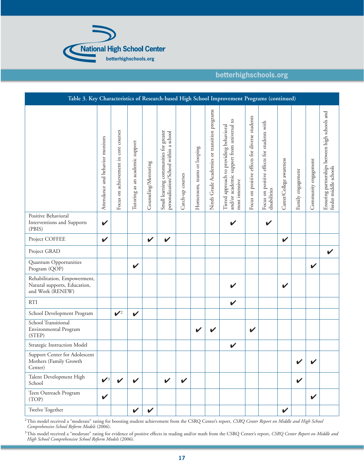

| Table 3. Key Characteristics of Research-based High School Improvement Programs (continued) |                                  |                                      |                                 |                      |                                                                                  |                  |                            |                                              |                                                                                                        |                                                |                                                             |                          |                   |                      |                                                                         |
|---------------------------------------------------------------------------------------------|----------------------------------|--------------------------------------|---------------------------------|----------------------|----------------------------------------------------------------------------------|------------------|----------------------------|----------------------------------------------|--------------------------------------------------------------------------------------------------------|------------------------------------------------|-------------------------------------------------------------|--------------------------|-------------------|----------------------|-------------------------------------------------------------------------|
|                                                                                             | Attendance and behavior monitors | Focus on achievement in core courses | Tutoring as an academic support | Counseling/Mentoring | Small learning communities for greater<br>personalization/School within a school | Catch-up courses | Homeroom, teams or looping | Ninth Grade Academies or transition programs | and/or academic support from universal to<br>Tiered approach to providing behavioral<br>most intensive | Focus on positive effects for diverse students | Focus on positive effects for students with<br>disabilities | Career/College awareness | Family engagement | Community engagement | Ensuring partnerships between high schools and<br>feeder middle schools |
| Positive Behavioral<br>Interventions and Supports<br>(PBIS)                                 | V                                |                                      |                                 |                      |                                                                                  |                  |                            |                                              | V                                                                                                      |                                                | $\checkmark$                                                |                          |                   |                      |                                                                         |
| Project COFFEE                                                                              | $\checkmark$                     |                                      |                                 | V                    | $\boldsymbol{\mathcal{U}}$                                                       |                  |                            |                                              |                                                                                                        |                                                |                                                             | V                        |                   |                      |                                                                         |
| Project GRAD                                                                                |                                  |                                      |                                 |                      |                                                                                  |                  |                            |                                              |                                                                                                        |                                                |                                                             |                          |                   |                      | V                                                                       |
| Quantum Opportunities<br>Program (QOP)                                                      |                                  |                                      | $\boldsymbol{\mathcal{U}}$      |                      |                                                                                  |                  |                            |                                              |                                                                                                        |                                                |                                                             |                          |                   | V                    |                                                                         |
| Rehabilitation, Empowerment,<br>Natural supports, Education,<br>and Work (RENEW)            |                                  |                                      |                                 |                      |                                                                                  |                  |                            |                                              |                                                                                                        |                                                |                                                             | V                        |                   |                      |                                                                         |
| <b>RTI</b>                                                                                  |                                  |                                      |                                 |                      |                                                                                  |                  |                            |                                              | $\checkmark$                                                                                           |                                                |                                                             |                          |                   |                      |                                                                         |
| School Development Program                                                                  |                                  | $\mathcal{V}^2$                      | $\checkmark$                    |                      |                                                                                  |                  |                            |                                              |                                                                                                        |                                                |                                                             |                          |                   |                      |                                                                         |
| School Transitional<br>Environmental Program<br>(STEP)                                      |                                  |                                      |                                 |                      |                                                                                  |                  |                            | V                                            |                                                                                                        | V                                              |                                                             |                          |                   |                      |                                                                         |
| Strategic Instruction Model                                                                 |                                  |                                      |                                 |                      |                                                                                  |                  |                            |                                              | V                                                                                                      |                                                |                                                             |                          |                   |                      |                                                                         |
| Support Center for Adolescent<br>Mothers (Family Growth<br>Center)                          |                                  |                                      |                                 |                      |                                                                                  |                  |                            |                                              |                                                                                                        |                                                |                                                             |                          |                   |                      |                                                                         |
| Talent Development High<br>School                                                           | $\mathcal{V}^3$                  | V                                    | V                               |                      | V                                                                                | $\checkmark$     |                            |                                              |                                                                                                        |                                                |                                                             |                          | V                 |                      |                                                                         |
| Teen Outreach Program<br>(TOP)                                                              | $\checkmark$                     |                                      |                                 |                      |                                                                                  |                  |                            |                                              |                                                                                                        |                                                |                                                             |                          |                   | V                    |                                                                         |
| Twelve Together                                                                             |                                  |                                      | $\checkmark$                    | $\checkmark$         |                                                                                  |                  |                            |                                              |                                                                                                        |                                                |                                                             | V                        |                   |                      |                                                                         |

2This model received a "moderate" rating for boosting student achievement from the CSRQ Center's report, *CSRQ Center Report on Middle and High School Comprehensive School Reform Models* (2006).

<sup>3</sup>This model received a "moderate" rating for evidence of positive effects in reading and/or math from the CSRQ Center's report, *CSRQ Center Report on Middle and High School Comprehensive School Reform Models* (2006).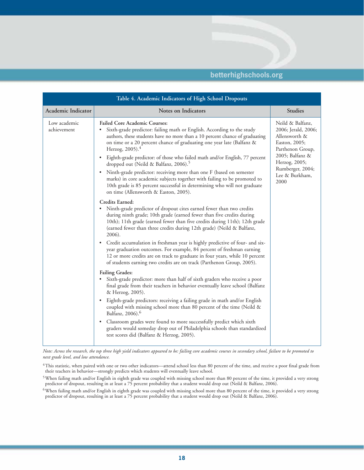|                             | Table 4. Academic Indicators of High School Dropouts                                                                                                                                                                                                                                                                                                                                                                                                                                                                                                                                                                                                                                                                                                                                                                                                                                                                                                                                                                                                                                                                                                                                                                                                                                                                                                                                                                                                                                                                                                                                                                                                                                                                                                                                                                                                                                                                                                                                                                  |                                                                                                                                                                                 |
|-----------------------------|-----------------------------------------------------------------------------------------------------------------------------------------------------------------------------------------------------------------------------------------------------------------------------------------------------------------------------------------------------------------------------------------------------------------------------------------------------------------------------------------------------------------------------------------------------------------------------------------------------------------------------------------------------------------------------------------------------------------------------------------------------------------------------------------------------------------------------------------------------------------------------------------------------------------------------------------------------------------------------------------------------------------------------------------------------------------------------------------------------------------------------------------------------------------------------------------------------------------------------------------------------------------------------------------------------------------------------------------------------------------------------------------------------------------------------------------------------------------------------------------------------------------------------------------------------------------------------------------------------------------------------------------------------------------------------------------------------------------------------------------------------------------------------------------------------------------------------------------------------------------------------------------------------------------------------------------------------------------------------------------------------------------------|---------------------------------------------------------------------------------------------------------------------------------------------------------------------------------|
| Academic Indicator          | <b>Notes on Indicators</b>                                                                                                                                                                                                                                                                                                                                                                                                                                                                                                                                                                                                                                                                                                                                                                                                                                                                                                                                                                                                                                                                                                                                                                                                                                                                                                                                                                                                                                                                                                                                                                                                                                                                                                                                                                                                                                                                                                                                                                                            | <b>Studies</b>                                                                                                                                                                  |
| Low academic<br>achievement | <b>Failed Core Academic Courses:</b><br>Sixth-grade predictor: failing math or English. According to the study<br>authors, these students have no more than a 10 percent chance of graduating<br>on time or a 20 percent chance of graduating one year late (Balfanz &<br>Herzog, 2005). <sup>4</sup><br>Eighth-grade predictor: of those who failed math and/or English, 77 percent<br>$\bullet$<br>dropped out (Neild & Balfanz, 2006). <sup>5</sup><br>Ninth-grade predictor: receiving more than one F (based on semester<br>$\bullet$<br>marks) in core academic subjects together with failing to be promoted to<br>10th grade is 85 percent successful in determining who will not graduate<br>on time (Allensworth & Easton, 2005).<br>Credits Earned:<br>• Ninth-grade predictor of dropout cites earned fewer than two credits<br>during ninth grade; 10th grade (earned fewer than five credits during<br>10th); 11th grade (earned fewer than five credits during 11th); 12th grade<br>(earned fewer than three credits during 12th grade) (Neild & Balfanz,<br>2006).<br>• Credit accumulation in freshman year is highly predictive of four- and six-<br>year graduation outcomes. For example, 84 percent of freshman earning<br>12 or more credits are on track to graduate in four years, while 10 percent<br>of students earning two credits are on track (Parthenon Group, 2005).<br><b>Failing Grades:</b><br>Sixth-grade predictor: more than half of sixth graders who receive a poor<br>final grade from their teachers in behavior eventually leave school (Balfanz<br>& Herzog, 2005).<br>Eighth-grade predictors: receiving a failing grade in math and/or English<br>$\bullet$<br>coupled with missing school more than 80 percent of the time (Neild &<br>Balfanz, 2006). <sup>6</sup><br>• Classroom grades were found to more successfully predict which sixth<br>graders would someday drop out of Philadelphia schools than standardized<br>test scores did (Balfanz & Herzog, 2005). | Neild & Balfanz,<br>2006; Jerald, 2006;<br>Allensworth &<br>Easton, 2005;<br>Parthenon Group,<br>2005; Balfanz &<br>Herzog, 2005;<br>Rumberger, 2004;<br>Lee & Burkham,<br>2000 |
|                             |                                                                                                                                                                                                                                                                                                                                                                                                                                                                                                                                                                                                                                                                                                                                                                                                                                                                                                                                                                                                                                                                                                                                                                                                                                                                                                                                                                                                                                                                                                                                                                                                                                                                                                                                                                                                                                                                                                                                                                                                                       |                                                                                                                                                                                 |

*Note: Across the research, the top three high yield indicators appeared to be: failing core academic courses in secondary school, failure to be promoted to next grade level, and low attendance.*

<sup>&</sup>lt;sup>4</sup>This statistic, when paired with one or two other indicators—attend school less than 80 percent of the time, and receive a poor final grade from their teachers in behavior—strongly predicts which students will eventually leave school.

 $^5$ When failing math and/or English in eighth grade was coupled with missing school more than 80 percent of the time, it provided a very strong predictor of dropout, resulting in at least a 75 percent probability that a student would drop out (Neild & Balfanz, 2006).

<sup>6</sup>When failing math and/or English in eighth grade was coupled with missing school more than 80 percent of the time, it provided a very strong predictor of dropout, resulting in at least a 75 percent probability that a student would drop out (Neild & Balfanz, 2006).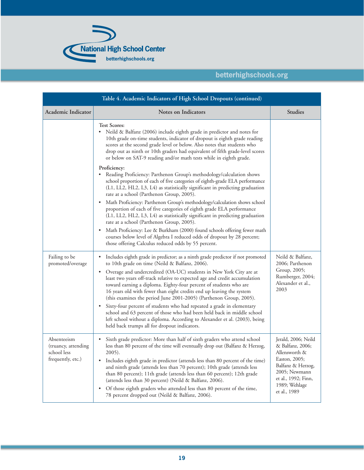

| Table 4. Academic Indicators of High School Dropouts (continued)       |                                                                                                                                                                                                                                                                                                                                                                                                                                                                                                                                                                                                                                                                                                                                                              |                                                                                                                                                                         |  |  |  |  |  |
|------------------------------------------------------------------------|--------------------------------------------------------------------------------------------------------------------------------------------------------------------------------------------------------------------------------------------------------------------------------------------------------------------------------------------------------------------------------------------------------------------------------------------------------------------------------------------------------------------------------------------------------------------------------------------------------------------------------------------------------------------------------------------------------------------------------------------------------------|-------------------------------------------------------------------------------------------------------------------------------------------------------------------------|--|--|--|--|--|
| Academic Indicator                                                     | Notes on Indicators                                                                                                                                                                                                                                                                                                                                                                                                                                                                                                                                                                                                                                                                                                                                          | <b>Studies</b>                                                                                                                                                          |  |  |  |  |  |
|                                                                        | <b>Test Scores:</b><br>$\bullet$<br>Neild & Balfanz (2006) include eighth grade in predictor and notes for<br>10th grade on-time students, indicator of dropout is eighth grade reading<br>scores at the second grade level or below. Also notes that students who<br>drop out as ninth or 10th graders had equivalent of fifth grade-level scores<br>or below on SAT-9 reading and/or math tests while in eighth grade.                                                                                                                                                                                                                                                                                                                                     |                                                                                                                                                                         |  |  |  |  |  |
|                                                                        | Proficiency:<br>Reading Proficiency: Parthenon Group's methodology/calculation shows<br>٠<br>school proportion of each of five categories of eighth-grade ELA performance<br>(L1, LL2, HL2, L3, L4) as statistically significant in predicting graduation<br>rate at a school (Parthenon Group, 2005).                                                                                                                                                                                                                                                                                                                                                                                                                                                       |                                                                                                                                                                         |  |  |  |  |  |
|                                                                        | Math Proficiency: Parthenon Group's methodology/calculation shows school<br>$\bullet$<br>proportion of each of five categories of eighth grade ELA performance<br>(L1, LL2, HL2, L3, L4) as statistically significant in predicting graduation<br>rate at a school (Parthenon Group, 2005).                                                                                                                                                                                                                                                                                                                                                                                                                                                                  |                                                                                                                                                                         |  |  |  |  |  |
|                                                                        | Math Proficiency: Lee & Burkham (2000) found schools offering fewer math<br>$\bullet$<br>courses below level of Algebra I reduced odds of dropout by 28 percent;<br>those offering Calculus reduced odds by 55 percent.                                                                                                                                                                                                                                                                                                                                                                                                                                                                                                                                      |                                                                                                                                                                         |  |  |  |  |  |
| Failing to be<br>promoted/overage                                      | Includes eighth grade in predictor; as a ninth grade predictor if not promoted<br>٠<br>to 10th grade on time (Neild & Balfanz, 2006).<br>Overage and undercredited (OA-UC) students in New York City are at<br>$\bullet$<br>least two years off-track relative to expected age and credit accumulation<br>toward earning a diploma. Eighty-four percent of students who are<br>16 years old with fewer than eight credits end up leaving the system<br>(this examines the period June 2001-2005) (Parthenon Group, 2005).<br>• Sixty-four percent of students who had repeated a grade in elementary<br>school and 63 percent of those who had been held back in middle school<br>left school without a diploma. According to Alexander et al. (2003), being | Neild & Balfanz,<br>2006; Parthenon<br>Group, 2005;<br>Rumberger, 2004;<br>Alexander et al.,<br>2003                                                                    |  |  |  |  |  |
| Absenteeism<br>(truancy, attending<br>school less<br>frequently, etc.) | held back trumps all for dropout indicators.<br>Sixth grade predictor: More than half of sixth graders who attend school<br>less than 80 percent of the time will eventually drop out (Balfanz & Herzog,<br>$2005$ ).<br>Includes eighth grade in predictor (attends less than 80 percent of the time)<br>٠<br>and ninth grade (attends less than 70 percent); 10th grade (attends less<br>than 80 percent); 11th grade (attends less than 60 percent); 12th grade<br>(attends less than 30 percent) (Neild & Balfanz, 2006).<br>• Of those eighth graders who attended less than 80 percent of the time,<br>78 percent dropped out (Neild & Balfanz, 2006).                                                                                                 | Jerald, 2006; Neild<br>& Balfanz, 2006;<br>Allensworth &<br>Easton, 2005;<br>Balfanz & Herzog,<br>2005; Newmann<br>et al., 1992; Finn,<br>1989; Wehlage<br>et al., 1989 |  |  |  |  |  |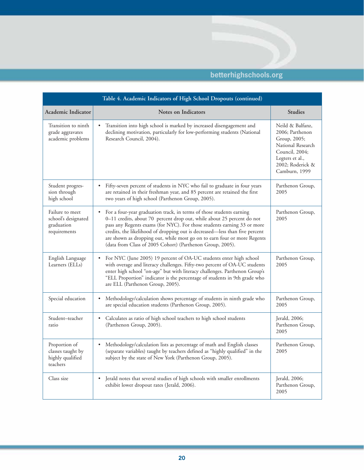| Table 4. Academic Indicators of High School Dropouts (continued)     |                                                                                                                                                                                                                                                                                                                                                                                                                                                                |                                                                                                                                                    |  |  |  |  |  |  |
|----------------------------------------------------------------------|----------------------------------------------------------------------------------------------------------------------------------------------------------------------------------------------------------------------------------------------------------------------------------------------------------------------------------------------------------------------------------------------------------------------------------------------------------------|----------------------------------------------------------------------------------------------------------------------------------------------------|--|--|--|--|--|--|
| <b>Academic Indicator</b>                                            | <b>Notes on Indicators</b>                                                                                                                                                                                                                                                                                                                                                                                                                                     | <b>Studies</b>                                                                                                                                     |  |  |  |  |  |  |
| Transition to ninth<br>grade aggravates<br>academic problems         | Transition into high school is marked by increased disengagement and<br>declining motivation, particularly for low-performing students (National<br>Research Council, 2004).                                                                                                                                                                                                                                                                                   | Neild & Balfanz,<br>2006; Parthenon<br>Group, 2005;<br>National Research<br>Council, 2004;<br>Legters et al.,<br>2002; Roderick &<br>Camburn, 1999 |  |  |  |  |  |  |
| Student progres-<br>sion through<br>high school                      | Fifty-seven percent of students in NYC who fail to graduate in four years<br>$\bullet$<br>are retained in their freshman year, and 85 percent are retained the first<br>two years of high school (Parthenon Group, 2005).                                                                                                                                                                                                                                      | Parthenon Group,<br>2005                                                                                                                           |  |  |  |  |  |  |
| Failure to meet<br>school's designated<br>graduation<br>requirements | For a four-year graduation track, in terms of those students earning<br>$\bullet$<br>0-11 credits, about 70 percent drop out, while about 25 percent do not<br>pass any Regents exams (for NYC). For those students earning 33 or more<br>credits, the likelihood of dropping out is decreased—less than five percent<br>are shown as dropping out, while most go on to earn four or more Regents<br>(data from Class of 2005 Cohort) (Parthenon Group, 2005). | Parthenon Group,<br>2005                                                                                                                           |  |  |  |  |  |  |
| English Language<br>Learners (ELLs)                                  | For NYC (June 2005) 19 percent of OA-UC students enter high school<br>$\bullet$<br>with overage and literacy challenges. Fifty-two percent of OA-UC students<br>enter high school "on-age" but with literacy challenges. Parthenon Group's<br>"ELL Proportion" indicator is the percentage of students in 9th grade who<br>are ELL (Parthenon Group, 2005).                                                                                                    | Parthenon Group,<br>2005                                                                                                                           |  |  |  |  |  |  |
| Special education                                                    | Methodology/calculation shows percentage of students in ninth grade who<br>$\bullet$<br>are special education students (Parthenon Group, 2005).                                                                                                                                                                                                                                                                                                                | Parthenon Group,<br>2005                                                                                                                           |  |  |  |  |  |  |
| Student-teacher<br>ratio                                             | Calculates as ratio of high school teachers to high school students<br>(Parthenon Group, 2005).                                                                                                                                                                                                                                                                                                                                                                | Jerald, 2006;<br>Parthenon Group,<br>2005                                                                                                          |  |  |  |  |  |  |
| Proportion of<br>classes taught by<br>highly qualified<br>teachers   | Methodology/calculation lists as percentage of math and English classes<br>$\bullet$<br>(separate variables) taught by teachers defined as "highly qualified" in the<br>subject by the state of New York (Parthenon Group, 2005).                                                                                                                                                                                                                              | Parthenon Group,<br>2005                                                                                                                           |  |  |  |  |  |  |
| Class size                                                           | Jerald notes that several studies of high schools with smaller enrollments<br>exhibit lower dropout rates (Jerald, 2006).                                                                                                                                                                                                                                                                                                                                      | Jerald, 2006;<br>Parthenon Group,<br>2005                                                                                                          |  |  |  |  |  |  |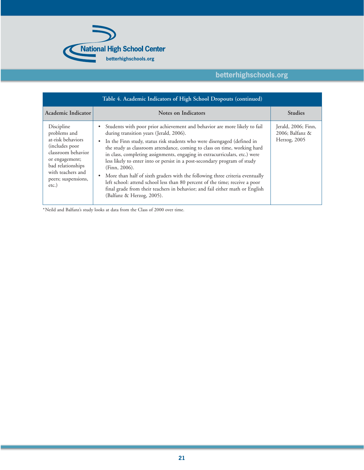

| <b>Academic Indicator</b>                                                                                                                                                              | <b>Notes on Indicators</b>                                                                                                                                                                                                                                                                                                                                                                                                                                                                                                                                                                                                                                                                                                             | <b>Studies</b>                                         |
|----------------------------------------------------------------------------------------------------------------------------------------------------------------------------------------|----------------------------------------------------------------------------------------------------------------------------------------------------------------------------------------------------------------------------------------------------------------------------------------------------------------------------------------------------------------------------------------------------------------------------------------------------------------------------------------------------------------------------------------------------------------------------------------------------------------------------------------------------------------------------------------------------------------------------------------|--------------------------------------------------------|
| Discipline<br>problems and<br>at-risk behaviors<br>(includes poor<br>classroom behavior<br>or engagement;<br>bad relationships<br>with teachers and<br>peers; suspensions,<br>$etc.$ ) | Students with poor prior achievement and behavior are more likely to fail<br>during transition years (Jerald, 2006).<br>In the Finn study, status risk students who were disengaged (defined in<br>the study as classroom attendance, coming to class on time, working hard<br>in class, completing assignments, engaging in extracurriculars, etc.) were<br>less likely to enter into or persist in a post-secondary program of study<br>$(Finn, 2006)$ .<br>More than half of sixth graders with the following three criteria eventually<br>left school: attend school less than 80 percent of the time; receive a poor<br>final grade from their teachers in behavior; and fail either math or English<br>(Balfanz & Herzog, 2005). | Jerald, 2006; Finn,<br>2006; Balfanz &<br>Herzog, 2005 |

\*Neild and Balfanz's study looks at data from the Class of 2000 over time.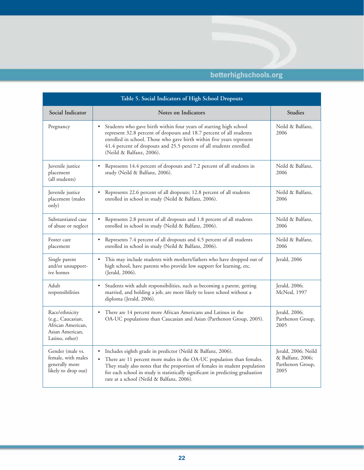| Table 5. Social Indicators of High School Dropouts                                            |                                                                                                                                                                                                                                                                                                                                                                             |                                                                     |  |  |  |  |  |
|-----------------------------------------------------------------------------------------------|-----------------------------------------------------------------------------------------------------------------------------------------------------------------------------------------------------------------------------------------------------------------------------------------------------------------------------------------------------------------------------|---------------------------------------------------------------------|--|--|--|--|--|
| Social Indicator                                                                              | Notes on Indicators                                                                                                                                                                                                                                                                                                                                                         | <b>Studies</b>                                                      |  |  |  |  |  |
| Pregnancy                                                                                     | Students who gave birth within four years of starting high school<br>$\bullet$<br>represent 32.8 percent of dropouts and 18.7 percent of all students<br>enrolled in school. Those who gave birth within five years represent<br>41.4 percent of dropouts and 25.5 percent of all students enrolled<br>(Neild & Balfanz, 2006).                                             | Neild & Balfanz,<br>2006                                            |  |  |  |  |  |
| Juvenile justice<br>placement<br>(all students)                                               | Represents 14.4 percent of dropouts and 7.2 percent of all students in<br>$\bullet$<br>study (Neild & Balfanz, 2006).                                                                                                                                                                                                                                                       | Neild & Balfanz,<br>2006                                            |  |  |  |  |  |
| Juvenile justice<br>placement (males<br>only)                                                 | Represents 22.6 percent of all dropouts; 12.8 percent of all students<br>$\bullet$<br>enrolled in school in study (Neild & Balfanz, 2006).                                                                                                                                                                                                                                  | Neild & Balfanz,<br>2006                                            |  |  |  |  |  |
| Substantiated case<br>of abuse or neglect                                                     | Represents 2.8 percent of all dropouts and 1.8 percent of all students<br>enrolled in school in study (Neild & Balfanz, 2006).                                                                                                                                                                                                                                              | Neild & Balfanz,<br>2006                                            |  |  |  |  |  |
| Foster care<br>placement                                                                      | Represents 7.4 percent of all dropouts and 4.5 percent of all students<br>$\bullet$<br>enrolled in school in study (Neild & Balfanz, 2006).                                                                                                                                                                                                                                 | Neild & Balfanz,<br>2006                                            |  |  |  |  |  |
| Single parent<br>and/or unsupport-<br>ive homes                                               | This may include students with mothers/fathers who have dropped out of<br>$\bullet$<br>high school, have parents who provide low support for learning, etc.<br>(Jerald, 2006).                                                                                                                                                                                              | Jerald, 2006                                                        |  |  |  |  |  |
| Adult<br>responsibilities                                                                     | Students with adult responsibilities, such as becoming a parent, getting<br>married, and holding a job, are more likely to leave school without a<br>diploma (Jerald, 2006).                                                                                                                                                                                                | Jerald, 2006;<br>McNeal, 1997                                       |  |  |  |  |  |
| Race/ethnicity<br>(e.g., Caucasian,<br>African American,<br>Asian American,<br>Latino, other) | There are 14 percent more African Americans and Latinos in the<br>OA-UC populations than Caucasian and Asian (Parthenon Group, 2005).                                                                                                                                                                                                                                       | Jerald, 2006;<br>Parthenon Group,<br>2005                           |  |  |  |  |  |
| Gender (male vs.<br>female, with males<br>generally more<br>likely to drop out)               | Includes eighth grade in predictor (Neild & Balfanz, 2006).<br>$\bullet$<br>There are 11 percent more males in the OA-UC population than females.<br>$\bullet$<br>They study also notes that the proportion of females in student population<br>for each school in study is statistically significant in predicting graduation<br>rate at a school (Neild & Balfanz, 2006). | Jerald, 2006; Neild<br>& Balfanz, 2006;<br>Parthenon Group,<br>2005 |  |  |  |  |  |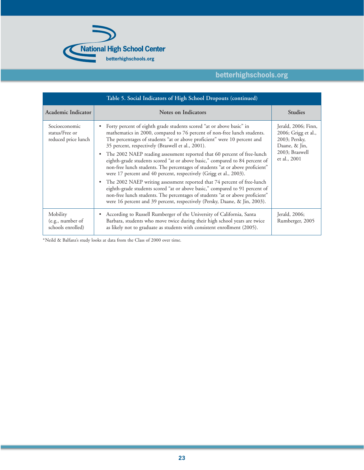

| Table 5. Social Indicators of High School Dropouts (continued) |                                                                                                                                                                                                                                                                                                                                                                                                                                                                                                                                                                                                                                                                                                                                                                                                                                                                                                                                                      |                                                                                                                |  |  |  |  |
|----------------------------------------------------------------|------------------------------------------------------------------------------------------------------------------------------------------------------------------------------------------------------------------------------------------------------------------------------------------------------------------------------------------------------------------------------------------------------------------------------------------------------------------------------------------------------------------------------------------------------------------------------------------------------------------------------------------------------------------------------------------------------------------------------------------------------------------------------------------------------------------------------------------------------------------------------------------------------------------------------------------------------|----------------------------------------------------------------------------------------------------------------|--|--|--|--|
| Academic Indicator                                             | <b>Notes on Indicators</b>                                                                                                                                                                                                                                                                                                                                                                                                                                                                                                                                                                                                                                                                                                                                                                                                                                                                                                                           | <b>Studies</b>                                                                                                 |  |  |  |  |
| Socioeconomic<br>status/Free or<br>reduced price lunch         | Forty percent of eighth grade students scored "at or above basic" in<br>mathematics in 2000, compared to 76 percent of non-free lunch students.<br>The percentages of students "at or above proficient" were 10 percent and<br>35 percent, respectively (Braswell et al., 2001).<br>The 2002 NAEP reading assessment reported that 60 percent of free-lunch<br>$\bullet$<br>eighth-grade students scored "at or above basic," compared to 84 percent of<br>non-free lunch students. The percentages of students "at or above proficient"<br>were 17 percent and 40 percent, respectively (Grigg et al., 2003).<br>The 2002 NAEP writing assessment reported that 74 percent of free-lunch<br>$\bullet$<br>eighth-grade students scored "at or above basic," compared to 91 percent of<br>non-free lunch students. The percentages of students "at or above proficient"<br>were 16 percent and 39 percent, respectively (Persky, Daane, & Jin, 2003). | Jerald, 2006; Finn,<br>2006; Grigg et al.,<br>2003; Persky,<br>Daane, & Jin,<br>2003; Braswell<br>et al., 2001 |  |  |  |  |
| Mobility<br>(e.g., number of<br>schools enrolled)              | According to Russell Rumberger of the University of California, Santa<br>٠<br>Barbara, students who move twice during their high school years are twice<br>as likely not to graduate as students with consistent enrollment (2005).                                                                                                                                                                                                                                                                                                                                                                                                                                                                                                                                                                                                                                                                                                                  | Jerald, 2006;<br>Rumberger, 2005                                                                               |  |  |  |  |

\*Neild & Balfanz's study looks at data from the Class of 2000 over time.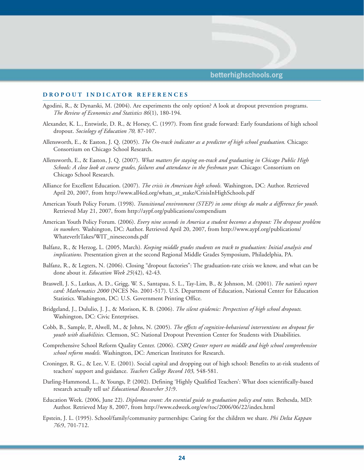#### **DROPOUT INDICATOR REFERENCES**

- Agodini, R., & Dynarski, M. (2004). Are experiments the only option? A look at dropout prevention programs. *The Review of Economics and Statistics 86*(1), 180-194.
- Alexander, K. L., Entwistle, D. R., & Horsey, C. (1997). From first grade forward: Early foundations of high school dropout. *Sociology of Education 70,* 87-107.
- Allensworth, E., & Easton, J. Q. (2005). *The On-track indicator as a predictor of high school graduation.* Chicago: Consortium on Chicago School Research.
- Allensworth, E., & Easton, J. Q. (2007). *What matters for staying on-track and graduating in Chicago Public High Schools: A close look at course grades, failures and attendance in the freshman year.* Chicago: Consortium on Chicago School Research.
- Alliance for Excellent Education. (2007). *The crisis in American high schools.* Washington, DC: Author. Retrieved April 20, 2007, from http://www.all4ed.org/whats\_at\_stake/CrisisInHighSchools.pdf
- American Youth Policy Forum. (1998). *Transitional environment (STEP) in some things do make a difference for youth.* Retrieved May 21, 2007, from http://aypf.org/publications/compendium
- American Youth Policy Forum. (2006). *Every nine seconds in America a student becomes a dropout: The dropout problem in numbers.* Washington, DC: Author. Retrieved April 20, 2007, from http://www.aypf.org/publications/ WhateverItTakes/WIT\_nineseconds.pdf
- Balfanz, R., & Herzog, L. (2005, March). *Keeping middle grades students on track to graduation: Initial analysis and implications.* Presentation given at the second Regional Middle Grades Symposium, Philadelphia, PA.
- Balfanz, R., & Legters, N. (2006). Closing "dropout factories": The graduation-rate crisis we know, and what can be done about it. *Education Week 25*(42), 42-43.
- Braswell, J. S., Lutkus, A. D., Grigg, W. S., Santapau, S. L., Tay-Lim, B., & Johnson, M. (2001). *The nation's report card: Mathematics 2000* (NCES No. 2001-517). U.S. Department of Education, National Center for Education Statistics. Washington, DC: U.S. Government Printing Office.
- Bridgeland, J., Dululio, J. J., & Morison, K. B. (2006). *The silent epidemic: Perspectives of high school dropouts.* Washington, DC: Civic Enterprises.
- Cobb, B., Sample, P., Alwell, M., & Johns, N. (2005). *The effects of cognitive-behavioral interventions on dropout for youth with disabilities.* Clemson, SC: National Dropout Prevention Center for Students with Disabilities.
- Comprehensive School Reform Quality Center. (2006). *CSRQ Center report on middle and high school comprehensive school reform models.* Washington, DC: American Institutes for Research.
- Croninger, R. G., & Lee, V. E. (2001). Social capital and dropping out of high school: Benefits to at-risk students of teachers' support and guidance. *Teachers College Record 103,* 548-581.
- Darling-Hammond, L., & Youngs, P. (2002). Defining 'Highly Qualified Teachers': What does scientifically-based research actually tell us? *Educational Researcher 31*:9.
- Education Week. (2006, June 22). *Diplomas count: An essential guide to graduation policy and rates.* Bethesda, MD: Author. Retrieved May 8, 2007, from http://www.edweek.org/ew/toc/2006/06/22/index.html
- Epstein, J. L. (1995). School/family/community partnerships: Caring for the children we share. *Phi Delta Kappan 76*:9, 701-712.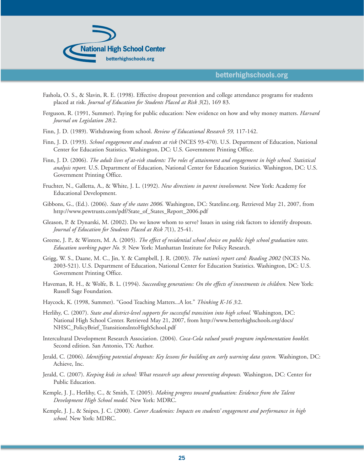

- Fashola, O. S., & Slavin, R. E. (1998). Effective dropout prevention and college attendance programs for students placed at risk. *Journal of Education for Students Placed at Risk 3*(2), 169 83.
- Ferguson, R. (1991, Summer). Paying for public education: New evidence on how and why money matters. *Harvard Journal on Legislation 28*:2.
- Finn, J. D. (1989). Withdrawing from school. *Review of Educational Research 59,* 117-142.
- Finn, J. D. (1993). *School engagement and students at risk* (NCES 93-470). U.S. Department of Education, National Center for Education Statistics. Washington, DC: U.S. Government Printing Office.
- Finn, J. D. (2006). *The adult lives of at-risk students: The roles of attainment and engagement in high school. Statistical analysis report.* U.S. Department of Education, National Center for Education Statistics. Washington, DC: U.S. Government Printing Office.
- Fruchter, N., Galletta, A., & White, J. L. (1992). *New directions in parent involvement.* New York: Academy for Educational Development.
- Gibbons, G., (Ed.). (2006). *State of the states 2006.* Washington, DC: Stateline.org. Retrieved May 21, 2007, from http://www.pewtrusts.com/pdf/State\_of\_States\_Report\_2006.pdf
- Gleason, P. & Dynarski, M. (2002). Do we know whom to serve? Issues in using risk factors to identify dropouts. *Journal of Education for Students Placed at Risk 7*(1), 25-41.
- Greene, J. P., & Winters, M. A. (2005). *The effect of residential school choice on public high school graduation rates. Education working paper No. 9.* New York: Manhattan Institute for Policy Research.
- Grigg, W. S., Daane, M. C., Jin, Y. & Campbell, J. R. (2003). *The nation's report card: Reading 2002* (NCES No. 2003-521). U.S. Department of Education, National Center for Education Statistics. Washington, DC: U.S. Government Printing Office.
- Haveman, R. H., & Wolfe, B. L. (1994). *Succeeding generations: On the effects of investments in children.* New York: Russell Sage Foundation.
- Haycock, K. (1998, Summer). "Good Teaching Matters...A lot." *Thinking K-16 3*:2.
- Herlihy, C. (2007). *State and district-level supports for successful transition into high school.* Washington, DC: National High School Center. Retrieved May 21, 2007, from http://www.betterhighschools.org/docs/ NHSC\_PolicyBrief\_TransitionsIntoHighSchool.pdf
- Intercultural Development Research Association. (2004). *Coca-Cola valued youth program implementation booklet.* Second edition. San Antonio, TX: Author.
- Jerald, C. (2006). *Identifying potential dropouts: Key lessons for building an early warning data system.* Washington, DC: Achieve, Inc.
- Jerald, C. (2007). *Keeping kids in school: What research says about preventing dropouts.* Washington, DC: Center for Public Education.
- Kemple, J. J., Herlihy, C., & Smith, T. (2005). *Making progress toward graduation: Evidence from the Talent Development High School model.* New York: MDRC.
- Kemple, J. J., & Snipes, J. C. (2000). *Career Academies: Impacts on students' engagement and performance in high school.* New York: MDRC.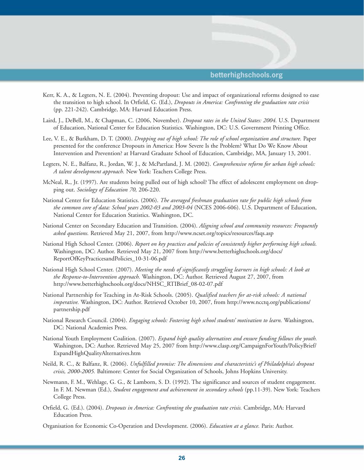

- Kerr, K. A., & Legters, N. E. (2004). Preventing dropout: Use and impact of organizational reforms designed to ease the transition to high school. In Orfield, G. (Ed.), *Dropouts in America: Confronting the graduation rate crisis*  (pp. 221-242). Cambridge, MA: Harvard Education Press.
- Laird, J., DeBell, M., & Chapman, C. (2006, November). *Dropout rates in the United States: 2004.* U.S. Department of Education, National Center for Education Statistics. Washington, DC: U.S. Government Printing Office.
- Lee, V. E., & Burkham, D. T. (2000). *Dropping out of high school: The role of school organization and structure.* Paper presented for the conference Dropouts in America: How Severe Is the Problem? What Do We Know About Intervention and Prevention? at Harvard Graduate School of Education, Cambridge, MA, January 13, 2001.
- Legters, N. E., Balfanz, R., Jordan, W. J., & McPartland, J. M. (2002). *Comprehensive reform for urban high schools: A talent development approach.* New York: Teachers College Press.
- McNeal, R., Jr. (1997). Are students being pulled out of high school? The effect of adolescent employment on dropping out. *Sociology of Education 70,* 206-220.
- National Center for Education Statistics. (2006). *The averaged freshman graduation rate for public high schools from the common core of data: School years 2002-03 and 2003-04* (NCES 2006-606). U.S. Department of Education, National Center for Education Statistics. Washington, DC.
- National Center on Secondary Education and Transition. (2004). *Aligning school and community resources: Frequently asked questions.* Retrieved May 21, 2007, from http://www.ncset.org/topics/resources/faqs.asp
- National High School Center. (2006). *Report on key practices and policies of consistently higher performing high schools.* Washington, DC: Author. Retrieved May 21, 2007 from http://www.betterhighschools.org/docs/ ReportOfKeyPracticesandPolicies\_10-31-06.pdf
- National High School Center. (2007). *Meeting the needs of significantly struggling learners in high schools: A look at the Response-to-Intervention approach.* Washington, DC: Author. Retrieved August 27, 2007, from http://www.betterhighschools.org/docs/NHSC\_RTIBrief\_08-02-07.pdf
- National Partnership for Teaching in At-Risk Schools. (2005). *Qualified teachers for at-risk schools: A national imperative.* Washington, DC: Author. Retrieved October 10, 2007, from http://www.ncctq.org/publications/ partnership.pdf
- National Research Council. (2004). *Engaging schools: Fostering high school students' motivation to learn.* Washington, DC: National Academies Press.
- National Youth Employment Coalition. (2007). *Expand high quality alternatives and ensure funding follows the youth.* Washington, DC: Author. Retrieved May 25, 2007 from http://www.clasp.org/CampaignForYouth/PolicyBrief/ ExpandHighQualityAlternatives.htm
- Neild, R. C., & Balfanz, R. (2006). *Unfulfilled promise: The dimensions and characteristic's of Philadelphia's dropout crisis, 2000-2005.* Baltimore: Center for Social Organization of Schools, Johns Hopkins University.
- Newmann, F. M., Wehlage, G. G., & Lamborn, S. D. (1992). The significance and sources of student engagement. In F. M. Newman (Ed.), *Student engagement and achievement in secondary schools* (pp.11-39). New York: Teachers College Press.
- Orfield, G. (Ed.). (2004). *Dropouts in America: Confronting the graduation rate crisis.* Cambridge, MA: Harvard Education Press.
- Organisation for Economic Co-Operation and Development. (2006). *Education at a glance.* Paris: Author.